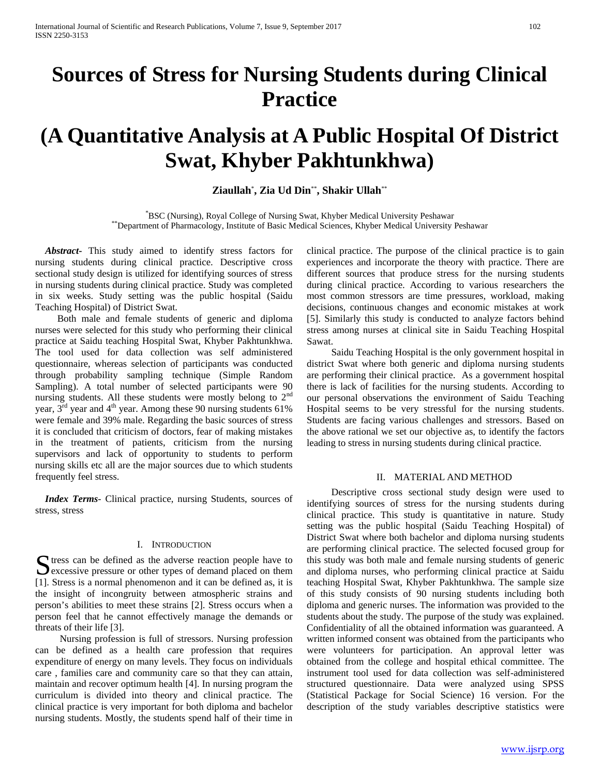# **Sources of Stress for Nursing Students during Clinical Practice**

# **(A Quantitative Analysis at A Public Hospital Of District Swat, Khyber Pakhtunkhwa)**

**Ziaullah**\* **, Zia Ud Din**\*\***, Shakir Ullah**\*\*

\*BSC (Nursing), Royal College of Nursing Swat, Khyber Medical University Peshawar \*\*Department of Pharmacology, Institute of Basic Medical Sciences, Khyber Medical University Peshawar

 *Abstract***-** This study aimed to identify stress factors for nursing students during clinical practice. Descriptive cross sectional study design is utilized for identifying sources of stress in nursing students during clinical practice. Study was completed in six weeks. Study setting was the public hospital (Saidu Teaching Hospital) of District Swat.

 Both male and female students of generic and diploma nurses were selected for this study who performing their clinical practice at Saidu teaching Hospital Swat, Khyber Pakhtunkhwa. The tool used for data collection was self administered questionnaire, whereas selection of participants was conducted through probability sampling technique (Simple Random Sampling). A total number of selected participants were 90 nursing students. All these students were mostly belong to  $2<sup>nd</sup>$ year,  $3<sup>rd</sup>$  year and 4<sup>th</sup> year. Among these 90 nursing students 61% were female and 39% male. Regarding the basic sources of stress it is concluded that criticism of doctors, fear of making mistakes in the treatment of patients, criticism from the nursing supervisors and lack of opportunity to students to perform nursing skills etc all are the major sources due to which students frequently feel stress.

 *Index Terms*- Clinical practice, nursing Students, sources of stress, stress

# I. INTRODUCTION

 $\Gamma$  tress can be defined as the adverse reaction people have to Solutions can be defined as the adverse reaction people have to excessive pressure or other types of demand placed on them [1]. Stress is a normal phenomenon and it can be defined as, it is the insight of incongruity between atmospheric strains and person's abilities to meet these strains [2]. Stress occurs when a person feel that he cannot effectively manage the demands or threats of their life [3].

 Nursing profession is full of stressors. Nursing profession can be defined as a health care profession that requires expenditure of energy on many levels. They focus on individuals care , families care and community care so that they can attain, maintain and recover optimum health [4]. In nursing program the curriculum is divided into theory and clinical practice. The clinical practice is very important for both diploma and bachelor nursing students. Mostly, the students spend half of their time in

clinical practice. The purpose of the clinical practice is to gain experiences and incorporate the theory with practice. There are different sources that produce stress for the nursing students during clinical practice. According to various researchers the most common stressors are time pressures, workload, making decisions, continuous changes and economic mistakes at work [5]. Similarly this study is conducted to analyze factors behind stress among nurses at clinical site in Saidu Teaching Hospital Sawat.

 Saidu Teaching Hospital is the only government hospital in district Swat where both generic and diploma nursing students are performing their clinical practice. As a government hospital there is lack of facilities for the nursing students. According to our personal observations the environment of Saidu Teaching Hospital seems to be very stressful for the nursing students. Students are facing various challenges and stressors. Based on the above rational we set our objective as, to identify the factors leading to stress in nursing students during clinical practice.

## II. MATERIAL AND METHOD

 Descriptive cross sectional study design were used to identifying sources of stress for the nursing students during clinical practice. This study is quantitative in nature. Study setting was the public hospital (Saidu Teaching Hospital) of District Swat where both bachelor and diploma nursing students are performing clinical practice. The selected focused group for this study was both male and female nursing students of generic and diploma nurses, who performing clinical practice at Saidu teaching Hospital Swat, Khyber Pakhtunkhwa. The sample size of this study consists of 90 nursing students including both diploma and generic nurses. The information was provided to the students about the study. The purpose of the study was explained. Confidentiality of all the obtained information was guaranteed. A written informed consent was obtained from the participants who were volunteers for participation. An approval letter was obtained from the college and hospital ethical committee. The instrument tool used for data collection was self-administered structured questionnaire. Data were analyzed using SPSS (Statistical Package for Social Science) 16 version. For the description of the study variables descriptive statistics were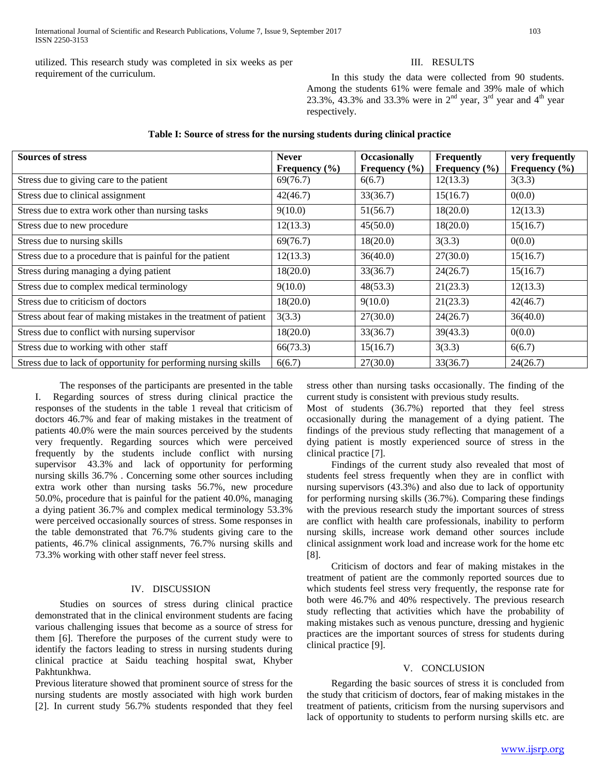utilized. This research study was completed in six weeks as per requirement of the curriculum.

# III. RESULTS

 In this study the data were collected from 90 students. Among the students 61% were female and 39% male of which 23.3%, 43.3% and 33.3% were in  $2<sup>nd</sup>$  year,  $3<sup>rd</sup>$  year and  $4<sup>th</sup>$  year respectively.

| <b>Sources of stress</b>                                         | <b>Never</b><br>Frequency $(\% )$ | <b>Occasionally</b><br>Frequency $(\% )$ | <b>Frequently</b><br>Frequency $(\% )$ | very frequently<br>Frequency $(\% )$ |
|------------------------------------------------------------------|-----------------------------------|------------------------------------------|----------------------------------------|--------------------------------------|
| Stress due to giving care to the patient                         | 69(76.7)                          | 6(6.7)                                   | 12(13.3)                               | 3(3.3)                               |
| Stress due to clinical assignment                                | 42(46.7)                          | 33(36.7)                                 | 15(16.7)                               | 0(0.0)                               |
| Stress due to extra work other than nursing tasks                | 9(10.0)                           | 51(56.7)                                 | 18(20.0)                               | 12(13.3)                             |
| Stress due to new procedure                                      | 12(13.3)                          | 45(50.0)                                 | 18(20.0)                               | 15(16.7)                             |
| Stress due to nursing skills                                     | 69(76.7)                          | 18(20.0)                                 | 3(3.3)                                 | 0(0.0)                               |
| Stress due to a procedure that is painful for the patient        | 12(13.3)                          | 36(40.0)                                 | 27(30.0)                               | 15(16.7)                             |
| Stress during managing a dying patient                           | 18(20.0)                          | 33(36.7)                                 | 24(26.7)                               | 15(16.7)                             |
| Stress due to complex medical terminology                        | 9(10.0)                           | 48(53.3)                                 | 21(23.3)                               | 12(13.3)                             |
| Stress due to criticism of doctors                               | 18(20.0)                          | 9(10.0)                                  | 21(23.3)                               | 42(46.7)                             |
| Stress about fear of making mistakes in the treatment of patient | 3(3.3)                            | 27(30.0)                                 | 24(26.7)                               | 36(40.0)                             |
| Stress due to conflict with nursing supervisor                   | 18(20.0)                          | 33(36.7)                                 | 39(43.3)                               | 0(0.0)                               |
| Stress due to working with other staff                           | 66(73.3)                          | 15(16.7)                                 | 3(3.3)                                 | 6(6.7)                               |
| Stress due to lack of opportunity for performing nursing skills  | 6(6.7)                            | 27(30.0)                                 | 33(36.7)                               | 24(26.7)                             |

# **Table I: Source of stress for the nursing students during clinical practice**

 The responses of the participants are presented in the table I. Regarding sources of stress during clinical practice the responses of the students in the table 1 reveal that criticism of doctors 46.7% and fear of making mistakes in the treatment of patients 40.0% were the main sources perceived by the students very frequently. Regarding sources which were perceived frequently by the students include conflict with nursing supervisor 43.3% and lack of opportunity for performing nursing skills 36.7% . Concerning some other sources including extra work other than nursing tasks 56.7%, new procedure 50.0%, procedure that is painful for the patient 40.0%, managing a dying patient 36.7% and complex medical terminology 53.3% were perceived occasionally sources of stress. Some responses in the table demonstrated that 76.7% students giving care to the patients, 46.7% clinical assignments, 76.7% nursing skills and 73.3% working with other staff never feel stress.

# IV. DISCUSSION

 Studies on sources of stress during clinical practice demonstrated that in the clinical environment students are facing various challenging issues that become as a source of stress for them [6]. Therefore the purposes of the current study were to identify the factors leading to stress in nursing students during clinical practice at Saidu teaching hospital swat, Khyber Pakhtunkhwa.

Previous literature showed that prominent source of stress for the nursing students are mostly associated with high work burden [2]. In current study 56.7% students responded that they feel

stress other than nursing tasks occasionally. The finding of the current study is consistent with previous study results.

Most of students (36.7%) reported that they feel stress occasionally during the management of a dying patient. The findings of the previous study reflecting that management of a dying patient is mostly experienced source of stress in the clinical practice [7].

 Findings of the current study also revealed that most of students feel stress frequently when they are in conflict with nursing supervisors (43.3%) and also due to lack of opportunity for performing nursing skills (36.7%). Comparing these findings with the previous research study the important sources of stress are conflict with health care professionals, inability to perform nursing skills, increase work demand other sources include clinical assignment work load and increase work for the home etc [8].

 Criticism of doctors and fear of making mistakes in the treatment of patient are the commonly reported sources due to which students feel stress very frequently, the response rate for both were 46.7% and 40% respectively. The previous research study reflecting that activities which have the probability of making mistakes such as venous puncture, dressing and hygienic practices are the important sources of stress for students during clinical practice [9].

## V. CONCLUSION

 Regarding the basic sources of stress it is concluded from the study that criticism of doctors, fear of making mistakes in the treatment of patients, criticism from the nursing supervisors and lack of opportunity to students to perform nursing skills etc. are